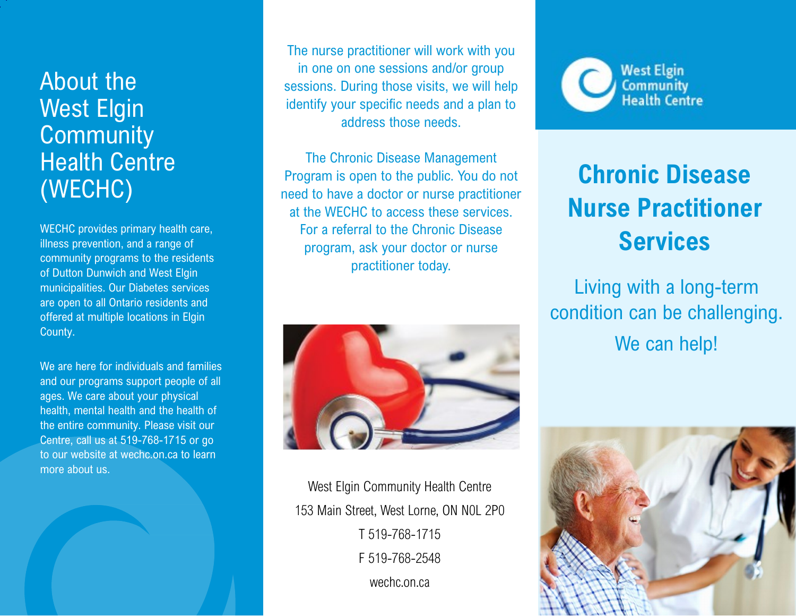## About the West Elgin **Community** Health Centre (WECHC)

WECHC provides primary health care, illness prevention, and a range of community programs to the residents of Dutton Dunwich and West Elgin municipalities. Our Diabetes services are open to all Ontario residents and offered at multiple locations in Elgin County.

We are here for individuals and families and our programs support people of all ages. We care about your physical health, mental health and the health of the entire community. Please visit our Centre, call us at 519-768-1715 or go to our website at wechc.on.ca to learn more about us.

The nurse practitioner will work with you in one on one sessions and/or group sessions. During those visits, we will help identify your specific needs and a plan to address those needs.

The Chronic Disease Management Program is open to the public. You do not need to have a doctor or nurse practitioner at the WECHC to access these services. For a referral to the Chronic Disease program, ask your doctor or nurse practitioner today.



West Elgin Community Health Centre 153 Main Street, West Lorne, ON N0L 2P0 T 519-768-1715 F 519-768-2548 wechc.on.ca



## **Chronic Disease Nurse Practitioner Services**

Living with a long-term condition can be challenging. We can help!